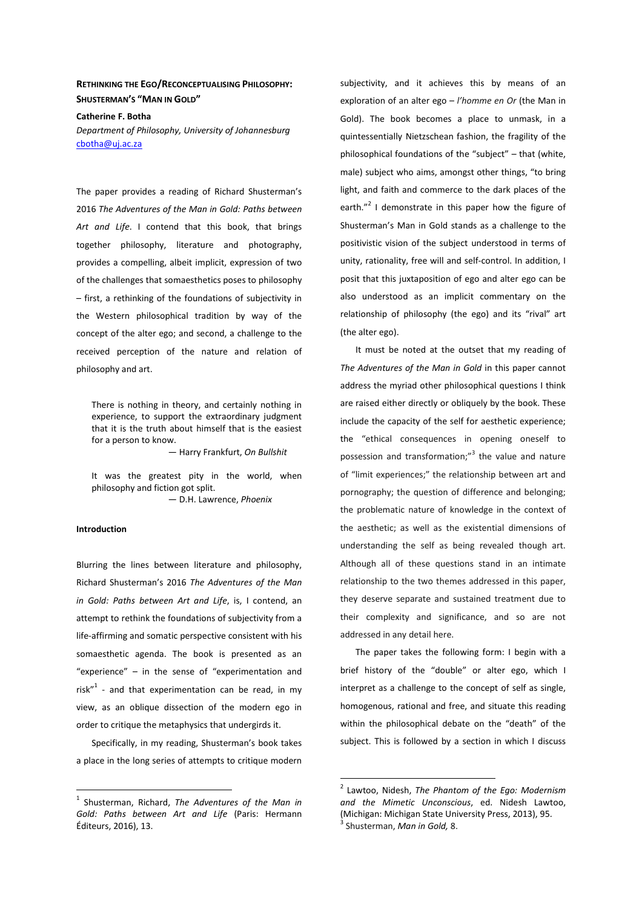# **RETHINKING THE EGO/RECONCEPTUALISING PHILOSOPHY: SHUSTERMAN'S "MAN IN GOLD"**

### **Catherine F. Botha**

*Department of Philosophy, University of Johannesburg*  cbotha@uj.ac.za

The paper provides a reading of Richard Shusterman's 2016 *The Adventures of the Man in Gold: Paths between Art and Life*. I contend that this book, that brings together philosophy, literature and photography, provides a compelling, albeit implicit, expression of two of the challenges that somaesthetics poses to philosophy – first, a rethinking of the foundations of subjectivity in the Western philosophical tradition by way of the concept of the alter ego; and second, a challenge to the received perception of the nature and relation of philosophy and art.

There is nothing in theory, and certainly nothing in experience, to support the extraordinary judgment that it is the truth about himself that is the easiest for a person to know.

— Harry Frankfurt, *On Bullshit* 

It was the greatest pity in the world, when philosophy and fiction got split. — D.H. Lawrence, *Phoenix* 

#### **Introduction**

 $\overline{a}$ 

Blurring the lines between literature and philosophy, Richard Shusterman's 2016 *The Adventures of the Man in Gold: Paths between Art and Life*, is, I contend, an attempt to rethink the foundations of subjectivity from a life-affirming and somatic perspective consistent with his somaesthetic agenda. The book is presented as an "experience" – in the sense of "experimentation and risk"<sup>1</sup> - and that experimentation can be read, in my view, as an oblique dissection of the modern ego in order to critique the metaphysics that undergirds it.

Specifically, in my reading, Shusterman's book takes a place in the long series of attempts to critique modern subjectivity, and it achieves this by means of an exploration of an alter ego – *l'homme en Or* (the Man in Gold). The book becomes a place to unmask, in a quintessentially Nietzschean fashion, the fragility of the philosophical foundations of the "subject" *–* that (white, male) subject who aims, amongst other things, "to bring light, and faith and commerce to the dark places of the earth."<sup>2</sup> I demonstrate in this paper how the figure of Shusterman's Man in Gold stands as a challenge to the positivistic vision of the subject understood in terms of unity, rationality, free will and self-control. In addition, I posit that this juxtaposition of ego and alter ego can be also understood as an implicit commentary on the relationship of philosophy (the ego) and its "rival" art (the alter ego).

It must be noted at the outset that my reading of *The Adventures of the Man in Gold* in this paper cannot address the myriad other philosophical questions I think are raised either directly or obliquely by the book. These include the capacity of the self for aesthetic experience; the "ethical consequences in opening oneself to possession and transformation;"<sup>3</sup> the value and nature of "limit experiences;" the relationship between art and pornography; the question of difference and belonging; the problematic nature of knowledge in the context of the aesthetic; as well as the existential dimensions of understanding the self as being revealed though art. Although all of these questions stand in an intimate relationship to the two themes addressed in this paper, they deserve separate and sustained treatment due to their complexity and significance, and so are not addressed in any detail here.

The paper takes the following form: I begin with a brief history of the "double" or alter ego, which I interpret as a challenge to the concept of self as single, homogenous, rational and free, and situate this reading within the philosophical debate on the "death" of the subject. This is followed by a section in which I discuss

<sup>1</sup> Shusterman, Richard, *The Adventures of the Man in Gold: Paths between Art and Life* (Paris: Hermann Éditeurs, 2016), 13.

 2 Lawtoo, Nidesh, *The Phantom of the Ego: Modernism and the Mimetic Unconscious*, ed. Nidesh Lawtoo, (Michigan: Michigan State University Press, 2013), 95. 3 Shusterman, *Man in Gold,* 8.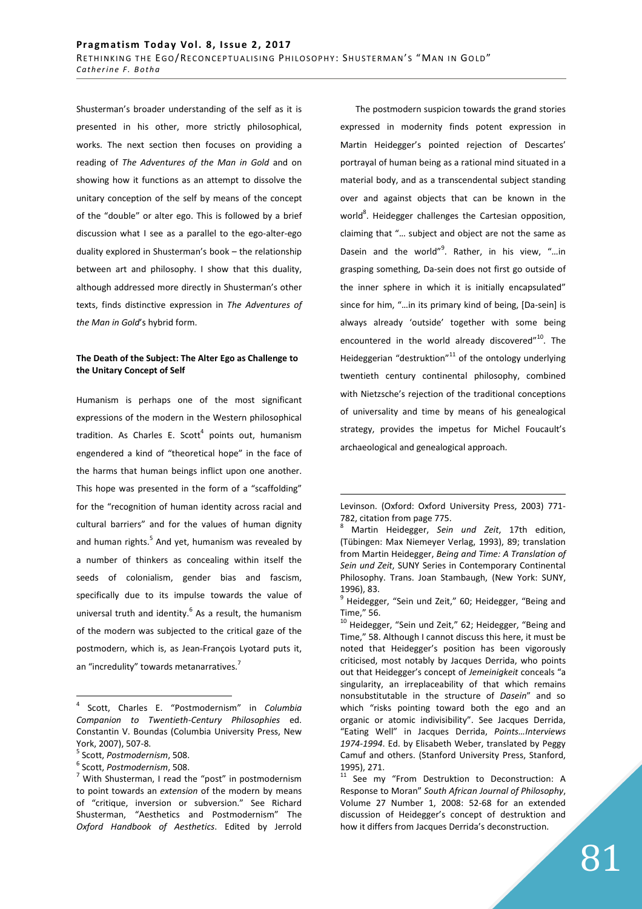Shusterman's broader understanding of the self as it is presented in his other, more strictly philosophical, works. The next section then focuses on providing a reading of *The Adventures of the Man in Gold* and on showing how it functions as an attempt to dissolve the unitary conception of the self by means of the concept of the "double" or alter ego. This is followed by a brief discussion what I see as a parallel to the ego-alter-ego duality explored in Shusterman's book – the relationship between art and philosophy. I show that this duality, although addressed more directly in Shusterman's other texts, finds distinctive expression in *The Adventures of the Man in Gold*'s hybrid form.

## **The Death of the Subject: The Alter Ego as Challenge to the Unitary Concept of Self**

Humanism is perhaps one of the most significant expressions of the modern in the Western philosophical tradition. As Charles E. Scott<sup>4</sup> points out, humanism engendered a kind of "theoretical hope" in the face of the harms that human beings inflict upon one another. This hope was presented in the form of a "scaffolding" for the "recognition of human identity across racial and cultural barriers" and for the values of human dignity and human rights.<sup>5</sup> And yet, humanism was revealed by a number of thinkers as concealing within itself the seeds of colonialism, gender bias and fascism, specifically due to its impulse towards the value of universal truth and identity. $<sup>6</sup>$  As a result, the humanism</sup> of the modern was subjected to the critical gaze of the postmodern, which is, as Jean-François Lyotard puts it, an "incredulity" towards metanarratives.<sup>7</sup>

 $\overline{a}$ 

The postmodern suspicion towards the grand stories expressed in modernity finds potent expression in Martin Heidegger's pointed rejection of Descartes' portrayal of human being as a rational mind situated in a material body, and as a transcendental subject standing over and against objects that can be known in the world<sup>8</sup>. Heidegger challenges the Cartesian opposition, claiming that "… subject and object are not the same as Dasein and the world"<sup>9</sup>. Rather, in his view, "...in grasping something, Da-sein does not first go outside of the inner sphere in which it is initially encapsulated" since for him, "…in its primary kind of being, [Da-sein] is always already 'outside' together with some being encountered in the world already discovered"<sup>10</sup>. The Heideggerian "destruktion" $^{11}$  of the ontology underlying twentieth century continental philosophy, combined with Nietzsche's rejection of the traditional conceptions of universality and time by means of his genealogical strategy, provides the impetus for Michel Foucault's archaeological and genealogical approach.

<sup>4</sup> Scott, Charles E. "Postmodernism" in *Columbia Companion to Twentieth-Century Philosophies* ed. Constantin V. Boundas (Columbia University Press, New York, 2007), 507-8.

<sup>5</sup> Scott, *Postmodernism*, 508.

<sup>6</sup> Scott, *Postmodernism*, 508.

 $7$  With Shusterman, I read the "post" in postmodernism to point towards an *extension* of the modern by means of "critique, inversion or subversion." See Richard Shusterman, "Aesthetics and Postmodernism" The *Oxford Handbook of Aesthetics*. Edited by Jerrold

Levinson. (Oxford: Oxford University Press, 2003) 771- 782, citation from page 775.

<sup>8</sup> Martin Heidegger, *Sein und Zeit*, 17th edition, (Tübingen: Max Niemeyer Verlag, 1993), 89; translation from Martin Heidegger, *Being and Time: A Translation of Sein und Zeit*, SUNY Series in Contemporary Continental Philosophy. Trans. Joan Stambaugh, (New York: SUNY, 1996), 83.

<sup>&</sup>lt;sup>9</sup> Heidegger, "Sein und Zeit," 60; Heidegger, "Being and Time," 56.

<sup>&</sup>lt;sup>10</sup> Heidegger, "Sein und Zeit," 62; Heidegger, "Being and Time," 58. Although I cannot discuss this here, it must be noted that Heidegger's position has been vigorously criticised, most notably by Jacques Derrida, who points out that Heidegger's concept of *Jemeinigkeit* conceals "a singularity, an irreplaceability of that which remains nonsubstitutable in the structure of *Dasein*" and so which "risks pointing toward both the ego and an organic or atomic indivisibility". See Jacques Derrida, "Eating Well" in Jacques Derrida, *Points…Interviews 1974-1994*. Ed. by Elisabeth Weber, translated by Peggy Camuf and others. (Stanford University Press, Stanford, 1995), 271.

<sup>&</sup>lt;sup>11</sup> See my "From Destruktion to Deconstruction: A Response to Moran" *South African Journal of Philosophy*, Volume 27 Number 1, 2008: 52-68 for an extended discussion of Heidegger's concept of destruktion and how it differs from Jacques Derrida's deconstruction.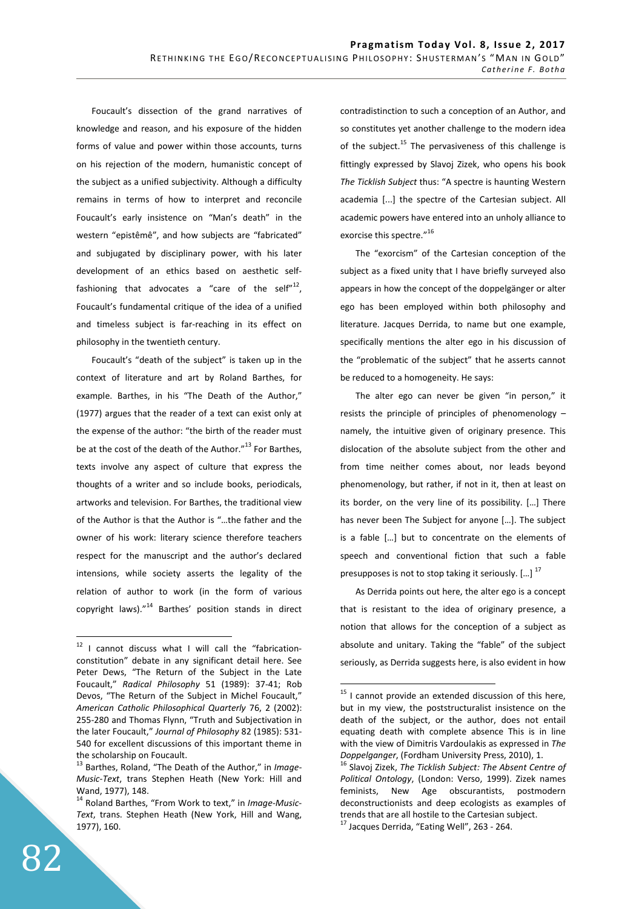Foucault's dissection of the grand narratives of knowledge and reason, and his exposure of the hidden forms of value and power within those accounts, turns on his rejection of the modern, humanistic concept of the subject as a unified subjectivity. Although a difficulty remains in terms of how to interpret and reconcile Foucault's early insistence on "Man's death" in the western "epistêmê", and how subjects are "fabricated" and subjugated by disciplinary power, with his later development of an ethics based on aesthetic selffashioning that advocates a "care of the self" $^{12}$ , Foucault's fundamental critique of the idea of a unified and timeless subject is far-reaching in its effect on philosophy in the twentieth century.

Foucault's "death of the subject" is taken up in the context of literature and art by Roland Barthes, for example. Barthes, in his "The Death of the Author," (1977) argues that the reader of a text can exist only at the expense of the author: "the birth of the reader must be at the cost of the death of the Author."<sup>13</sup> For Barthes, texts involve any aspect of culture that express the thoughts of a writer and so include books, periodicals, artworks and television. For Barthes, the traditional view of the Author is that the Author is "…the father and the owner of his work: literary science therefore teachers respect for the manuscript and the author's declared intensions, while society asserts the legality of the relation of author to work (in the form of various copyright laws)."<sup>14</sup> Barthes' position stands in direct contradistinction to such a conception of an Author, and so constitutes yet another challenge to the modern idea of the subject.<sup>15</sup> The pervasiveness of this challenge is fittingly expressed by Slavoj Zizek, who opens his book *The Ticklish Subject* thus: "A spectre is haunting Western academia [...] the spectre of the Cartesian subject. All academic powers have entered into an unholy alliance to exorcise this spectre."<sup>16</sup>

The "exorcism" of the Cartesian conception of the subject as a fixed unity that I have briefly surveyed also appears in how the concept of the doppelgänger or alter ego has been employed within both philosophy and literature. Jacques Derrida, to name but one example, specifically mentions the alter ego in his discussion of the "problematic of the subject" that he asserts cannot be reduced to a homogeneity. He says:

The alter ego can never be given "in person," it resists the principle of principles of phenomenology – namely, the intuitive given of originary presence. This dislocation of the absolute subject from the other and from time neither comes about, nor leads beyond phenomenology, but rather, if not in it, then at least on its border, on the very line of its possibility. […] There has never been The Subject for anyone […]. The subject is a fable […] but to concentrate on the elements of speech and conventional fiction that such a fable presupposes is not to stop taking it seriously. [...]<sup>17</sup>

As Derrida points out here, the alter ego is a concept that is resistant to the idea of originary presence, a notion that allows for the conception of a subject as absolute and unitary. Taking the "fable" of the subject seriously, as Derrida suggests here, is also evident in how

 $\overline{a}$ 

 $12$  I cannot discuss what I will call the "fabricationconstitution" debate in any significant detail here. See Peter Dews, "The Return of the Subject in the Late Foucault," *Radical Philosophy* 51 (1989): 37-41; Rob Devos, "The Return of the Subject in Michel Foucault," *American Catholic Philosophical Quarterly* 76, 2 (2002): 255-280 and Thomas Flynn, "Truth and Subjectivation in the later Foucault," *Journal of Philosophy* 82 (1985): 531- 540 for excellent discussions of this important theme in the scholarship on Foucault.

<sup>13</sup> Barthes, Roland, "The Death of the Author," in *Image-Music-Text*, trans Stephen Heath (New York: Hill and Wand, 1977), 148.

<sup>14</sup> Roland Barthes, "From Work to text," in *Image-Music-Text*, trans. Stephen Heath (New York, Hill and Wang, 1977), 160.

 $15$  I cannot provide an extended discussion of this here, but in my view, the poststructuralist insistence on the death of the subject, or the author, does not entail equating death with complete absence This is in line with the view of Dimitris Vardoulakis as expressed in *The Doppelganger*, (Fordham University Press, 2010), 1.

<sup>16</sup> Slavoj Zizek, *The Ticklish Subject: The Absent Centre of Political Ontology*, (London: Verso, 1999). Zizek names feminists, New Age obscurantists, postmodern deconstructionists and deep ecologists as examples of trends that are all hostile to the Cartesian subject. <sup>17</sup> Jacques Derrida, "Eating Well", 263 - 264.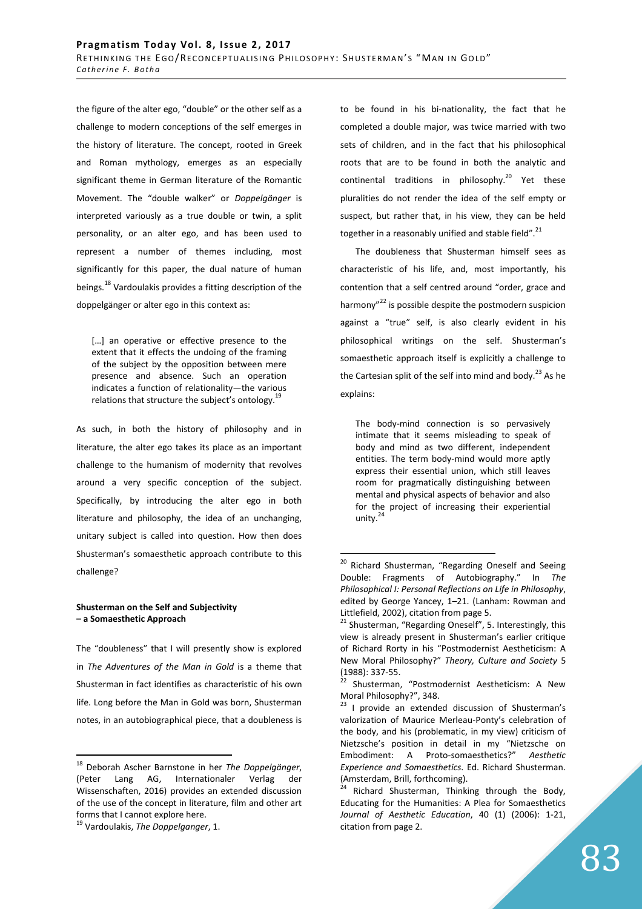the figure of the alter ego, "double" or the other self as a challenge to modern conceptions of the self emerges in the history of literature. The concept, rooted in Greek and Roman mythology, emerges as an especially significant theme in German literature of the Romantic Movement. The "double walker" or *Doppelgänger* is interpreted variously as a true double or twin, a split personality, or an alter ego, and has been used to represent a number of themes including, most significantly for this paper, the dual nature of human beings.<sup>18</sup> Vardoulakis provides a fitting description of the doppelgänger or alter ego in this context as:

[...] an operative or effective presence to the extent that it effects the undoing of the framing of the subject by the opposition between mere presence and absence. Such an operation indicates a function of relationality—the various relations that structure the subject's ontology.<sup>1</sup>

As such, in both the history of philosophy and in literature, the alter ego takes its place as an important challenge to the humanism of modernity that revolves around a very specific conception of the subject. Specifically, by introducing the alter ego in both literature and philosophy, the idea of an unchanging, unitary subject is called into question. How then does Shusterman's somaesthetic approach contribute to this challenge?

## **Shusterman on the Self and Subjectivity – a Somaesthetic Approach**

The "doubleness" that I will presently show is explored in *The Adventures of the Man in Gold* is a theme that Shusterman in fact identifies as characteristic of his own life. Long before the Man in Gold was born, Shusterman notes, in an autobiographical piece, that a doubleness is

 $\overline{a}$ 

to be found in his bi-nationality, the fact that he completed a double major, was twice married with two sets of children, and in the fact that his philosophical roots that are to be found in both the analytic and continental traditions in philosophy.<sup>20</sup> Yet these pluralities do not render the idea of the self empty or suspect, but rather that, in his view, they can be held together in a reasonably unified and stable field".<sup>21</sup>

The doubleness that Shusterman himself sees as characteristic of his life, and, most importantly, his contention that a self centred around "order, grace and harmony"<sup>22</sup> is possible despite the postmodern suspicion against a "true" self, is also clearly evident in his philosophical writings on the self. Shusterman's somaesthetic approach itself is explicitly a challenge to the Cartesian split of the self into mind and body.<sup>23</sup> As he explains:

The body-mind connection is so pervasively intimate that it seems misleading to speak of body and mind as two different, independent entities. The term body-mind would more aptly express their essential union, which still leaves room for pragmatically distinguishing between mental and physical aspects of behavior and also for the project of increasing their experiential unity. $2^2$ 

<sup>18</sup> Deborah Ascher Barnstone in her *The Doppelgänger*, (Peter Lang AG, Internationaler Verlag der Wissenschaften, 2016) provides an extended discussion of the use of the concept in literature, film and other art forms that I cannot explore here.

<sup>19</sup> Vardoulakis, *The Doppelganger*, 1.

<sup>&</sup>lt;sup>20</sup> Richard Shusterman, "Regarding Oneself and Seeing Double: Fragments of Autobiography." In *The Philosophical I: Personal Reflections on Life in Philosophy*, edited by George Yancey, 1–21. (Lanham: Rowman and Littlefield, 2002), citation from page 5.

<sup>&</sup>lt;sup>21</sup> Shusterman, "Regarding Oneself", 5. Interestingly, this view is already present in Shusterman's earlier critique of Richard Rorty in his "Postmodernist Aestheticism: A New Moral Philosophy?" *Theory, Culture and Society* 5  $(1988): 337-55.$ 

Shusterman, "Postmodernist Aestheticism: A New Moral Philosophy?", 348.

<sup>&</sup>lt;sup>23</sup> I provide an extended discussion of Shusterman's valorization of Maurice Merleau-Ponty's celebration of the body, and his (problematic, in my view) criticism of Nietzsche's position in detail in my "Nietzsche on Embodiment: A Proto-somaesthetics?" *Aesthetic Experience and Somaesthetics*. Ed. Richard Shusterman. (Amsterdam, Brill, forthcoming).

Richard Shusterman, Thinking through the Body, Educating for the Humanities: A Plea for Somaesthetics *Journal of Aesthetic Education*, 40 (1) (2006): 1-21, citation from page 2.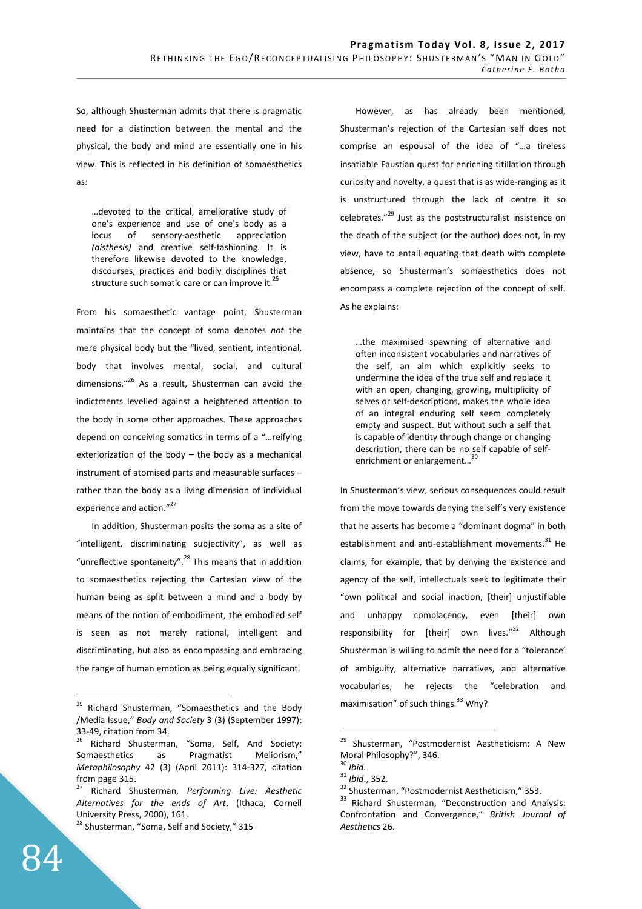So, although Shusterman admits that there is pragmatic need for a distinction between the mental and the physical, the body and mind are essentially one in his view. This is reflected in his definition of somaesthetics as:

…devoted to the critical, ameliorative study of one's experience and use of one's body as a locus of sensory-aesthetic appreciation *(aisthesis)* and creative self-fashioning. lt is therefore likewise devoted to the knowledge, discourses, practices and bodily disciplines that structure such somatic care or can improve it.<sup>25</sup>

From his somaesthetic vantage point, Shusterman maintains that the concept of soma denotes *not* the mere physical body but the "lived, sentient, intentional, body that involves mental, social, and cultural dimensions."<sup>26</sup> As a result, Shusterman can avoid the indictments levelled against a heightened attention to the body in some other approaches. These approaches depend on conceiving somatics in terms of a "…reifying exteriorization of the body – the body as a mechanical instrument of atomised parts and measurable surfaces – rather than the body as a living dimension of individual experience and action."<sup>27</sup>

In addition, Shusterman posits the soma as a site of "intelligent, discriminating subjectivity", as well as "unreflective spontaneity".<sup>28</sup> This means that in addition to somaesthetics rejecting the Cartesian view of the human being as split between a mind and a body by means of the notion of embodiment, the embodied self is seen as not merely rational, intelligent and discriminating, but also as encompassing and embracing the range of human emotion as being equally significant.

However, as has already been mentioned, Shusterman's rejection of the Cartesian self does not comprise an espousal of the idea of "…a tireless insatiable Faustian quest for enriching titillation through curiosity and novelty, a quest that is as wide-ranging as it is unstructured through the lack of centre it so celebrates."<sup>29</sup> Just as the poststructuralist insistence on the death of the subject (or the author) does not, in my view, have to entail equating that death with complete absence, so Shusterman's somaesthetics does not encompass a complete rejection of the concept of self. As he explains:

…the maximised spawning of alternative and often inconsistent vocabularies and narratives of the self, an aim which explicitly seeks to undermine the idea of the true self and replace it with an open, changing, growing, multiplicity of selves or self-descriptions, makes the whole idea of an integral enduring self seem completely empty and suspect. But without such a self that is capable of identity through change or changing description, there can be no self capable of selfenrichment or enlargement...

In Shusterman's view, serious consequences could result from the move towards denying the self's very existence that he asserts has become a "dominant dogma" in both establishment and anti-establishment movements.<sup>31</sup> He claims, for example, that by denying the existence and agency of the self, intellectuals seek to legitimate their "own political and social inaction, [their] unjustifiable and unhappy complacency, even [their] own responsibility for [their] own lives."<sup>32</sup> Although Shusterman is willing to admit the need for a "tolerance' of ambiguity, alternative narratives, and alternative vocabularies, he rejects the "celebration and maximisation" of such things.<sup>33</sup> Why?

 $\overline{a}$ <sup>25</sup> Richard Shusterman, "Somaesthetics and the Body /Media Issue," *Body and Society* 3 (3) (September 1997): 33-49, citation from 34.

Richard Shusterman, "Soma, Self, And Society: Somaesthetics as Pragmatist Meliorism," *Metaphilosophy* 42 (3) (April 2011): 314-327, citation from page 315.

<sup>27</sup> Richard Shusterman, *Performing Live: Aesthetic Alternatives for the ends of Art*, (Ithaca, Cornell University Press, 2000), 161.

<sup>&</sup>lt;sup>28</sup> Shusterman, "Soma, Self and Society," 315

<sup>&</sup>lt;sup>29</sup> Shusterman, "Postmodernist Aestheticism: A New Moral Philosophy?", 346.

<sup>30</sup> *Ibid*.

<sup>31</sup> *Ibid*., 352.

<sup>&</sup>lt;sup>32</sup> Shusterman, "Postmodernist Aestheticism," 353.

<sup>&</sup>lt;sup>33</sup> Richard Shusterman, "Deconstruction and Analysis: Confrontation and Convergence," *British Journal of Aesthetics* 26.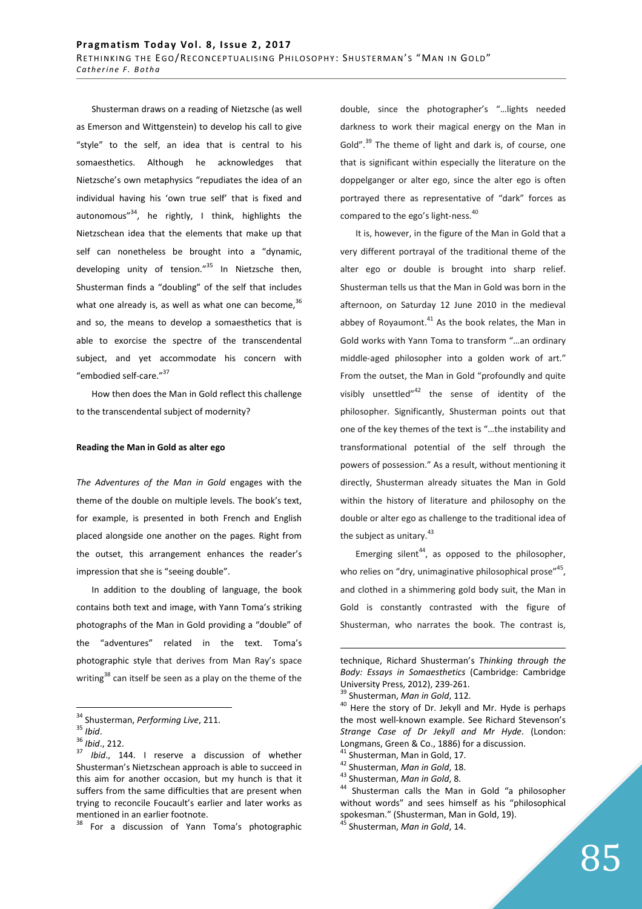Shusterman draws on a reading of Nietzsche (as well as Emerson and Wittgenstein) to develop his call to give "style" to the self, an idea that is central to his somaesthetics. Although he acknowledges that Nietzsche's own metaphysics "repudiates the idea of an individual having his 'own true self' that is fixed and autonomous"<sup>34</sup>, he rightly, I think, highlights the Nietzschean idea that the elements that make up that self can nonetheless be brought into a "dynamic, developing unity of tension."<sup>35</sup> In Nietzsche then, Shusterman finds a "doubling" of the self that includes what one already is, as well as what one can become,  $36$ and so, the means to develop a somaesthetics that is able to exorcise the spectre of the transcendental subject, and yet accommodate his concern with "embodied self-care."<sup>37</sup>

How then does the Man in Gold reflect this challenge to the transcendental subject of modernity?

#### **Reading the Man in Gold as alter ego**

*The Adventures of the Man in Gold* engages with the theme of the double on multiple levels. The book's text, for example, is presented in both French and English placed alongside one another on the pages. Right from the outset, this arrangement enhances the reader's impression that she is "seeing double".

In addition to the doubling of language, the book contains both text and image, with Yann Toma's striking photographs of the Man in Gold providing a "double" of the "adventures" related in the text. Toma's photographic style that derives from Man Ray's space writing $38$  can itself be seen as a play on the theme of the

 $\overline{a}$ 

<sup>38</sup> For a discussion of Yann Toma's photographic

double, since the photographer's "…lights needed darkness to work their magical energy on the Man in Gold".<sup>39</sup> The theme of light and dark is, of course, one that is significant within especially the literature on the doppelganger or alter ego, since the alter ego is often portrayed there as representative of "dark" forces as compared to the ego's light-ness.<sup>40</sup>

It is, however, in the figure of the Man in Gold that a very different portrayal of the traditional theme of the alter ego or double is brought into sharp relief. Shusterman tells us that the Man in Gold was born in the afternoon, on Saturday 12 June 2010 in the medieval abbey of Royaumont. $41$  As the book relates, the Man in Gold works with Yann Toma to transform "…an ordinary middle-aged philosopher into a golden work of art." From the outset, the Man in Gold "profoundly and quite visibly unsettled $v^{42}$  the sense of identity of the philosopher. Significantly, Shusterman points out that one of the key themes of the text is "…the instability and transformational potential of the self through the powers of possession." As a result, without mentioning it directly, Shusterman already situates the Man in Gold within the history of literature and philosophy on the double or alter ego as challenge to the traditional idea of the subject as unitary. $43$ 

Emerging silent<sup>44</sup>, as opposed to the philosopher, who relies on "dry, unimaginative philosophical prose",  $45$ , and clothed in a shimmering gold body suit, the Man in Gold is constantly contrasted with the figure of Shusterman, who narrates the book. The contrast is,

<sup>34</sup> Shusterman, *Performing Live*, 211.

<sup>35</sup> *Ibid*.

<sup>36</sup> *Ibid*., 212.

<sup>37</sup> *Ibid*., 144. I reserve a discussion of whether Shusterman's Nietzschean approach is able to succeed in this aim for another occasion, but my hunch is that it suffers from the same difficulties that are present when trying to reconcile Foucault's earlier and later works as mentioned in an earlier footnote.

technique, Richard Shusterman's *Thinking through the Body: Essays in Somaesthetics* (Cambridge: Cambridge University Press, 2012), 239-261.

<sup>39</sup> Shusterman, *Man in Gold*, 112.

<sup>&</sup>lt;sup>40</sup> Here the story of Dr. Jekyll and Mr. Hyde is perhaps the most well-known example. See Richard Stevenson's *Strange Case of Dr Jekyll and Mr Hyde*. (London: Longmans, Green & Co., 1886) for a discussion.

<sup>&</sup>lt;sup>41</sup> Shusterman, Man in Gold, 17.

<sup>42</sup> Shusterman, *Man in Gold*, 18.

<sup>43</sup> Shusterman, *Man in Gold*, 8.

<sup>44</sup> Shusterman calls the Man in Gold "a philosopher without words" and sees himself as his "philosophical spokesman." (Shusterman, Man in Gold, 19). <sup>45</sup> Shusterman, *Man in Gold*, 14.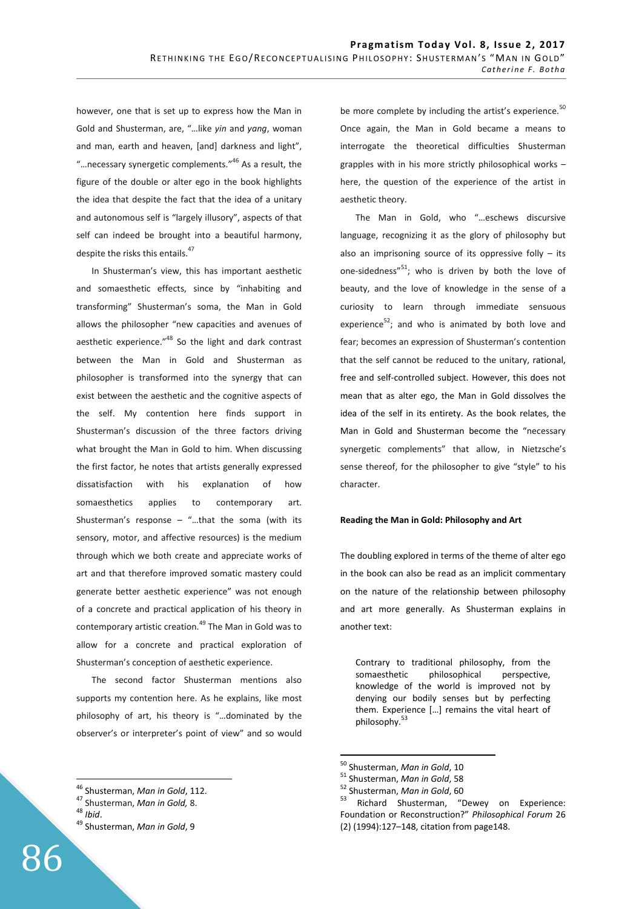however, one that is set up to express how the Man in Gold and Shusterman, are, "…like *yin* and *yang*, woman and man, earth and heaven, [and] darkness and light", "... necessary synergetic complements."<sup>46</sup> As a result, the figure of the double or alter ego in the book highlights the idea that despite the fact that the idea of a unitary and autonomous self is "largely illusory", aspects of that self can indeed be brought into a beautiful harmony, despite the risks this entails.<sup>47</sup>

In Shusterman's view, this has important aesthetic and somaesthetic effects, since by "inhabiting and transforming" Shusterman's soma, the Man in Gold allows the philosopher "new capacities and avenues of aesthetic experience."<sup>48</sup> So the light and dark contrast between the Man in Gold and Shusterman as philosopher is transformed into the synergy that can exist between the aesthetic and the cognitive aspects of the self. My contention here finds support in Shusterman's discussion of the three factors driving what brought the Man in Gold to him. When discussing the first factor, he notes that artists generally expressed dissatisfaction with his explanation of how somaesthetics applies to contemporary art. Shusterman's response – "...that the soma (with its sensory, motor, and affective resources) is the medium through which we both create and appreciate works of art and that therefore improved somatic mastery could generate better aesthetic experience" was not enough of a concrete and practical application of his theory in contemporary artistic creation.<sup>49</sup> The Man in Gold was to allow for a concrete and practical exploration of Shusterman's conception of aesthetic experience.

The second factor Shusterman mentions also supports my contention here. As he explains, like most philosophy of art, his theory is "…dominated by the observer's or interpreter's point of view" and so would

 $\overline{a}$ 

be more complete by including the artist's experience.<sup>50</sup> Once again, the Man in Gold became a means to interrogate the theoretical difficulties Shusterman grapples with in his more strictly philosophical works – here, the question of the experience of the artist in aesthetic theory.

The Man in Gold, who "…eschews discursive language, recognizing it as the glory of philosophy but also an imprisoning source of its oppressive folly  $-$  its one-sidedness" $51$ ; who is driven by both the love of beauty, and the love of knowledge in the sense of a curiosity to learn through immediate sensuous experience<sup>52</sup>; and who is animated by both love and fear; becomes an expression of Shusterman's contention that the self cannot be reduced to the unitary, rational, free and self-controlled subject. However, this does not mean that as alter ego, the Man in Gold dissolves the idea of the self in its entirety. As the book relates, the Man in Gold and Shusterman become the "necessary synergetic complements" that allow, in Nietzsche's sense thereof, for the philosopher to give "style" to his character.

### **Reading the Man in Gold: Philosophy and Art**

The doubling explored in terms of the theme of alter ego in the book can also be read as an implicit commentary on the nature of the relationship between philosophy and art more generally. As Shusterman explains in another text:

Contrary to traditional philosophy, from the somaesthetic philosophical perspective, knowledge of the world is improved not by denying our bodily senses but by perfecting them. Experience […] remains the vital heart of philosophy.<sup>53</sup>

<sup>46</sup> Shusterman, *Man in Gold*, 112.

<sup>47</sup> Shusterman, *Man in Gold,* 8.

<sup>48</sup> *Ibid*.

<sup>49</sup> Shusterman, *Man in Gold*, 9

<sup>50</sup> Shusterman, *Man in Gold*, 10

<sup>51</sup> Shusterman, *Man in Gold*, 58

<sup>&</sup>lt;sup>52</sup> Shusterman, *Man in Gold*, 60<sup>53</sup> Pichard Shusterman

Richard Shusterman, "Dewey on Experience: Foundation or Reconstruction?" *Philosophical Forum* 26 (2) (1994):127–148, citation from page148.